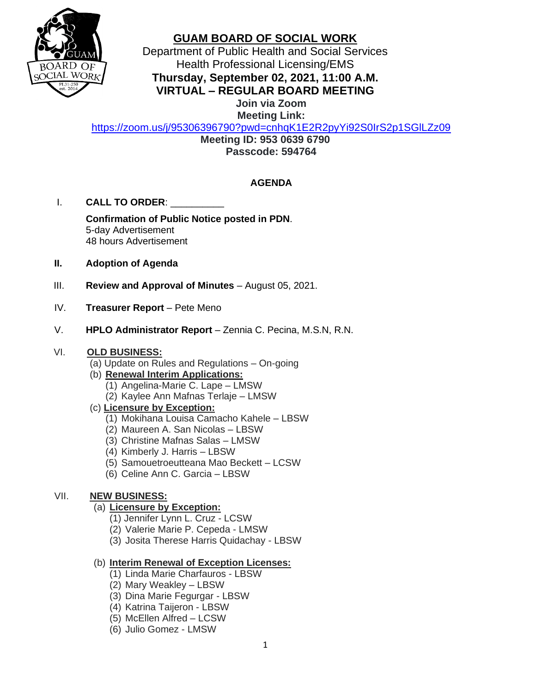

# **GUAM BOARD OF SOCIAL WORK**

Department of Public Health and Social Services Health Professional Licensing/EMS **Thursday, September 02, 2021, 11:00 A.M.**

**VIRTUAL – REGULAR BOARD MEETING**

**Join via Zoom Meeting Link:**

<https://zoom.us/j/95306396790?pwd=cnhqK1E2R2pyYi92S0IrS2p1SGlLZz09>

**Meeting ID: 953 0639 6790 Passcode: 594764**

## **AGENDA**

I. **CALL TO ORDER**: \_\_\_\_\_\_\_\_\_\_

**Confirmation of Public Notice posted in PDN**. 5-day Advertisement 48 hours Advertisement

- **II. Adoption of Agenda**
- III. **Review and Approval of Minutes** August 05, 2021.
- IV. **Treasurer Report** Pete Meno
- V. **HPLO Administrator Report** Zennia C. Pecina, M.S.N, R.N.

#### VI. **OLD BUSINESS:**

- (a) Update on Rules and Regulations On-going
- (b) **Renewal Interim Applications:**  (1) Angelina-Marie C. Lape – LMSW
	- (2) Kaylee Ann Mafnas Terlaje LMSW
- (c) **Licensure by Exception:**
	- (1) Mokihana Louisa Camacho Kahele LBSW
	- (2) Maureen A. San Nicolas LBSW
	- (3) Christine Mafnas Salas LMSW
	- (4) Kimberly J. Harris LBSW
	- (5) Samouetroeutteana Mao Beckett LCSW
	- (6) Celine Ann C. Garcia LBSW

# VII. **NEW BUSINESS:**

### (a) **Licensure by Exception:**

- (1) Jennifer Lynn L. Cruz LCSW
- (2) Valerie Marie P. Cepeda LMSW
- (3) Josita Therese Harris Quidachay LBSW

### (b) **Interim Renewal of Exception Licenses:**

- (1) Linda Marie Charfauros LBSW
- (2) Mary Weakley LBSW
- (3) Dina Marie Fegurgar LBSW
- (4) Katrina Taijeron LBSW
- (5) McEllen Alfred LCSW
- (6) Julio Gomez LMSW